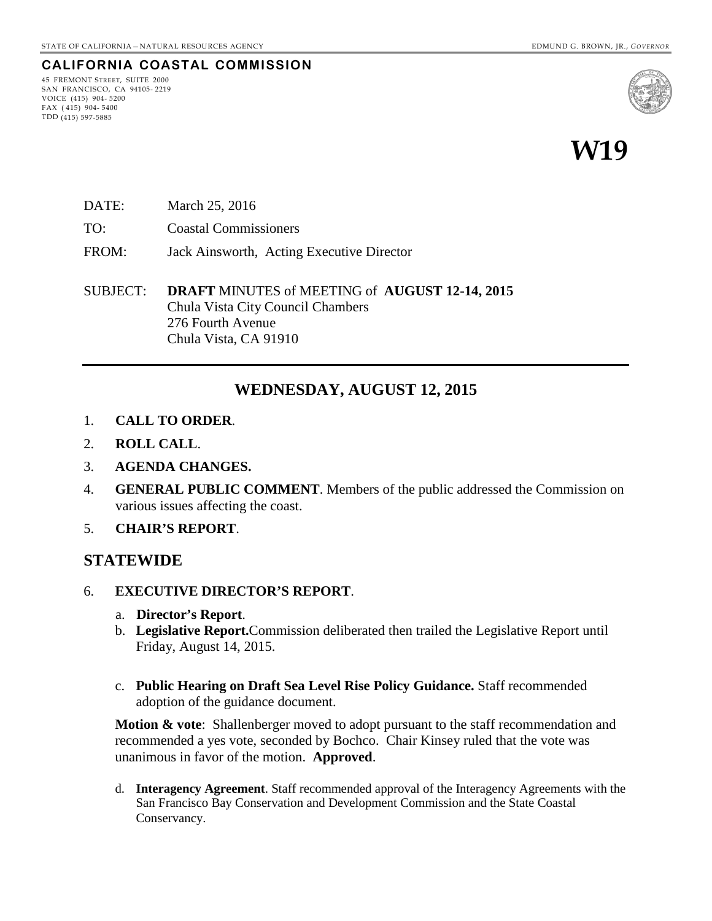### **CALIFORNIA COASTAL COMMISSION**

45 FREMONT STREET, SUITE 2000 SAN FRANCISCO, CA 94105- 2219 VOICE (415) 904- 5200  $FAX (415) 904 - 5400$ TDD (415) 597-5885



# **W19**

- DATE: March 25, 2016
- TO: Coastal Commissioners
- FROM: Jack Ainsworth, Acting Executive Director

SUBJECT: **DRAFT** MINUTES of MEETING of **AUGUST 12-14, 2015** Chula Vista City Council Chambers 276 Fourth Avenue Chula Vista, CA 91910

### **WEDNESDAY, AUGUST 12, 2015**

- 1. **CALL TO ORDER**.
- 2. **ROLL CALL**.
- 3. **AGENDA CHANGES.**
- 4. **GENERAL PUBLIC COMMENT**. Members of the public addressed the Commission on various issues affecting the coast.
- 5. **CHAIR'S REPORT**.

### **STATEWIDE**

- 6. **EXECUTIVE DIRECTOR'S REPORT**.
	- a. **Director's Report**.
	- b. **Legislative Report.**Commission deliberated then trailed the Legislative Report until Friday, August 14, 2015.
	- c. **Public Hearing on Draft Sea Level Rise Policy Guidance.** Staff recommended adoption of the guidance document.

**Motion & vote:** Shallenberger moved to adopt pursuant to the staff recommendation and recommended a yes vote, seconded by Bochco. Chair Kinsey ruled that the vote was unanimous in favor of the motion. **Approved**.

d. **Interagency Agreement**. Staff recommended approval of the Interagency Agreements with the San Francisco Bay Conservation and Development Commission and the State Coastal Conservancy.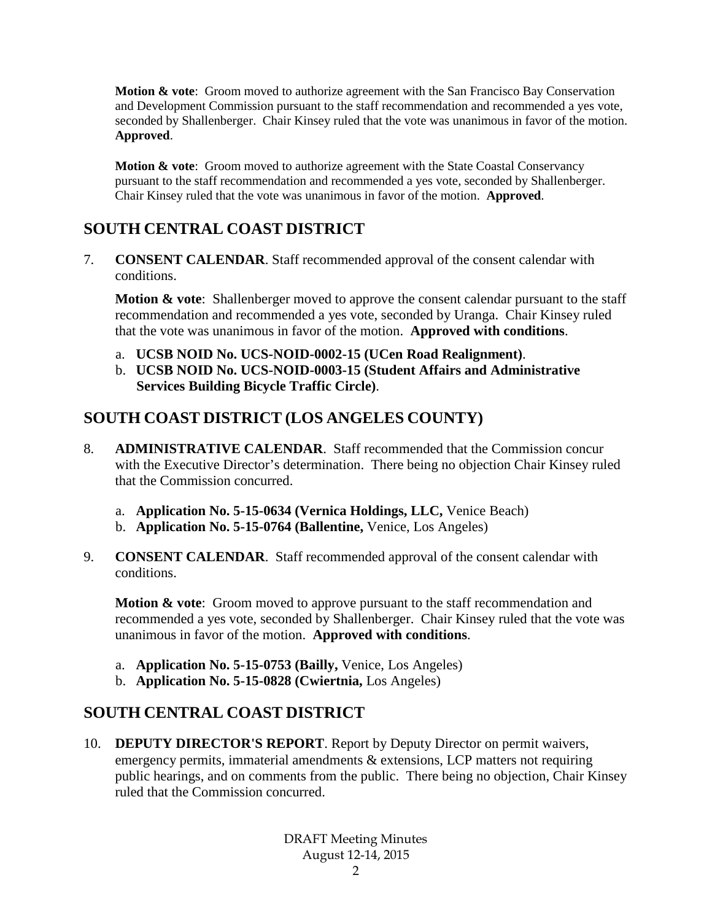**Motion & vote:** Groom moved to authorize agreement with the San Francisco Bay Conservation and Development Commission pursuant to the staff recommendation and recommended a yes vote, seconded by Shallenberger. Chair Kinsey ruled that the vote was unanimous in favor of the motion. **Approved**.

**Motion & vote:** Groom moved to authorize agreement with the State Coastal Conservancy pursuant to the staff recommendation and recommended a yes vote, seconded by Shallenberger. Chair Kinsey ruled that the vote was unanimous in favor of the motion. **Approved**.

# **SOUTH CENTRAL COAST DISTRICT**

7. **CONSENT CALENDAR**. Staff recommended approval of the consent calendar with conditions.

**Motion & vote**: Shallenberger moved to approve the consent calendar pursuant to the staff recommendation and recommended a yes vote, seconded by Uranga. Chair Kinsey ruled that the vote was unanimous in favor of the motion. **Approved with conditions**.

- a. **UCSB NOID No. UCS-NOID-0002-15 (UCen Road Realignment)**.
- b. **UCSB NOID No. UCS-NOID-0003-15 (Student Affairs and Administrative Services Building Bicycle Traffic Circle)**.

# **SOUTH COAST DISTRICT (LOS ANGELES COUNTY)**

- 8. **ADMINISTRATIVE CALENDAR**. Staff recommended that the Commission concur with the Executive Director's determination. There being no objection Chair Kinsey ruled that the Commission concurred.
	- a. **Application No. 5-15-0634 (Vernica Holdings, LLC,** Venice Beach)
	- b. **Application No. 5-15-0764 (Ballentine,** Venice, Los Angeles)
- 9. **CONSENT CALENDAR**. Staff recommended approval of the consent calendar with conditions.

**Motion & vote**: Groom moved to approve pursuant to the staff recommendation and recommended a yes vote, seconded by Shallenberger. Chair Kinsey ruled that the vote was unanimous in favor of the motion. **Approved with conditions**.

- a. **Application No. 5-15-0753 (Bailly,** Venice, Los Angeles)
- b. **Application No. 5-15-0828 (Cwiertnia,** Los Angeles)

# **SOUTH CENTRAL COAST DISTRICT**

10. **DEPUTY DIRECTOR'S REPORT**. Report by Deputy Director on permit waivers, emergency permits, immaterial amendments & extensions, LCP matters not requiring public hearings, and on comments from the public. There being no objection, Chair Kinsey ruled that the Commission concurred.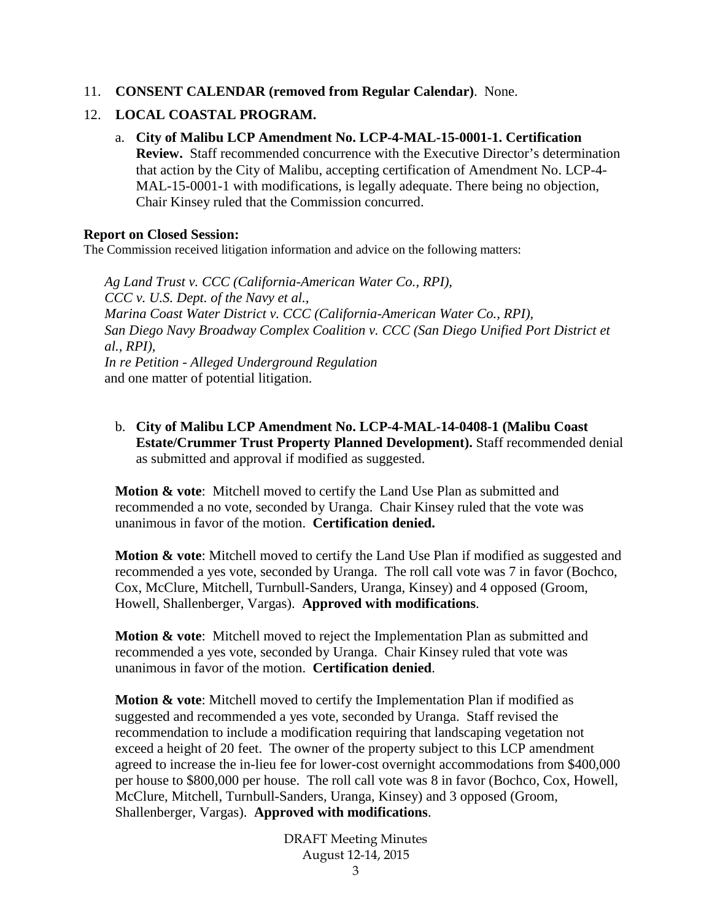11. **CONSENT CALENDAR (removed from Regular Calendar)**. None.

### 12. **LOCAL COASTAL PROGRAM.**

a. **City of Malibu LCP Amendment No. LCP-4-MAL-15-0001-1. Certification Review.** Staff recommended concurrence with the Executive Director's determination that action by the City of Malibu, accepting certification of Amendment No. LCP-4- MAL-15-0001-1 with modifications, is legally adequate. There being no objection, Chair Kinsey ruled that the Commission concurred.

### **Report on Closed Session:**

The Commission received litigation information and advice on the following matters:

*Ag Land Trust v. CCC (California-American Water Co., RPI), CCC v. U.S. Dept. of the Navy et al., Marina Coast Water District v. CCC (California-American Water Co., RPI),*  San Diego Navy Broadway Complex Coalition v. CCC (San Diego Unified Port District et *al., RPI), In re Petition - Alleged Underground Regulation* and one matter of potential litigation.

b. **City of Malibu LCP Amendment No. LCP-4-MAL-14-0408-1 (Malibu Coast Estate/Crummer Trust Property Planned Development).** Staff recommended denial as submitted and approval if modified as suggested.

**Motion & vote**: Mitchell moved to certify the Land Use Plan as submitted and recommended a no vote, seconded by Uranga. Chair Kinsey ruled that the vote was unanimous in favor of the motion. **Certification denied.**

**Motion & vote**: Mitchell moved to certify the Land Use Plan if modified as suggested and recommended a yes vote, seconded by Uranga. The roll call vote was 7 in favor (Bochco, Cox, McClure, Mitchell, Turnbull-Sanders, Uranga, Kinsey) and 4 opposed (Groom, Howell, Shallenberger, Vargas). **Approved with modifications**.

**Motion & vote**: Mitchell moved to reject the Implementation Plan as submitted and recommended a yes vote, seconded by Uranga. Chair Kinsey ruled that vote was unanimous in favor of the motion. **Certification denied**.

**Motion & vote**: Mitchell moved to certify the Implementation Plan if modified as suggested and recommended a yes vote, seconded by Uranga. Staff revised the recommendation to include a modification requiring that landscaping vegetation not exceed a height of 20 feet. The owner of the property subject to this LCP amendment agreed to increase the in-lieu fee for lower-cost overnight accommodations from \$400,000 per house to \$800,000 per house. The roll call vote was 8 in favor (Bochco, Cox, Howell, McClure, Mitchell, Turnbull-Sanders, Uranga, Kinsey) and 3 opposed (Groom, Shallenberger, Vargas). **Approved with modifications**.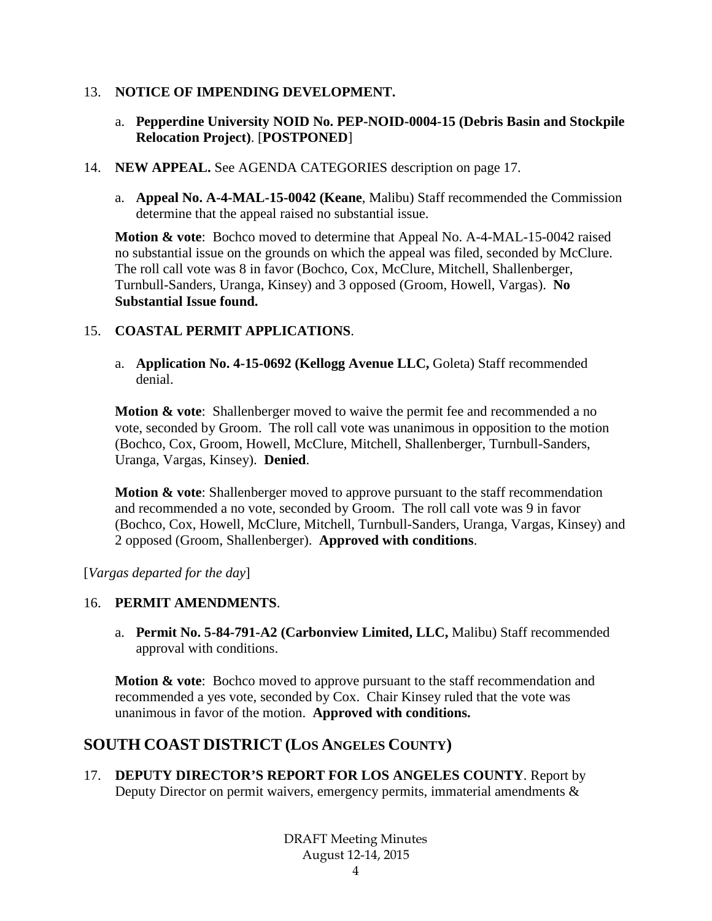### 13. **NOTICE OF IMPENDING DEVELOPMENT.**

- a. **Pepperdine University NOID No. PEP-NOID-0004-15 (Debris Basin and Stockpile Relocation Project)**. [**POSTPONED**]
- 14. **NEW APPEAL.** See AGENDA CATEGORIES description on page 17.
	- a. **Appeal No. A-4-MAL-15-0042 (Keane**, Malibu) Staff recommended the Commission determine that the appeal raised no substantial issue.

**Motion & vote**: Bochco moved to determine that Appeal No. A-4-MAL-15-0042 raised no substantial issue on the grounds on which the appeal was filed, seconded by McClure. The roll call vote was 8 in favor (Bochco, Cox, McClure, Mitchell, Shallenberger, Turnbull-Sanders, Uranga, Kinsey) and 3 opposed (Groom, Howell, Vargas). **No Substantial Issue found.**

### 15. **COASTAL PERMIT APPLICATIONS**.

a. **Application No. 4-15-0692 (Kellogg Avenue LLC,** Goleta) Staff recommended denial.

**Motion & vote:** Shallenberger moved to waive the permit fee and recommended a no vote, seconded by Groom. The roll call vote was unanimous in opposition to the motion (Bochco, Cox, Groom, Howell, McClure, Mitchell, Shallenberger, Turnbull-Sanders, Uranga, Vargas, Kinsey). **Denied**.

**Motion & vote**: Shallenberger moved to approve pursuant to the staff recommendation and recommended a no vote, seconded by Groom. The roll call vote was 9 in favor (Bochco, Cox, Howell, McClure, Mitchell, Turnbull-Sanders, Uranga, Vargas, Kinsey) and 2 opposed (Groom, Shallenberger). **Approved with conditions**.

[*Vargas departed for the day*]

### 16. **PERMIT AMENDMENTS**.

a. **Permit No. 5-84-791-A2 (Carbonview Limited, LLC,** Malibu) Staff recommended approval with conditions.

**Motion & vote:** Bochco moved to approve pursuant to the staff recommendation and recommended a yes vote, seconded by Cox. Chair Kinsey ruled that the vote was unanimous in favor of the motion. **Approved with conditions.**

# **SOUTH COAST DISTRICT (LOS ANGELES COUNTY)**

17. **DEPUTY DIRECTOR'S REPORT FOR LOS ANGELES COUNTY**. Report by Deputy Director on permit waivers, emergency permits, immaterial amendments &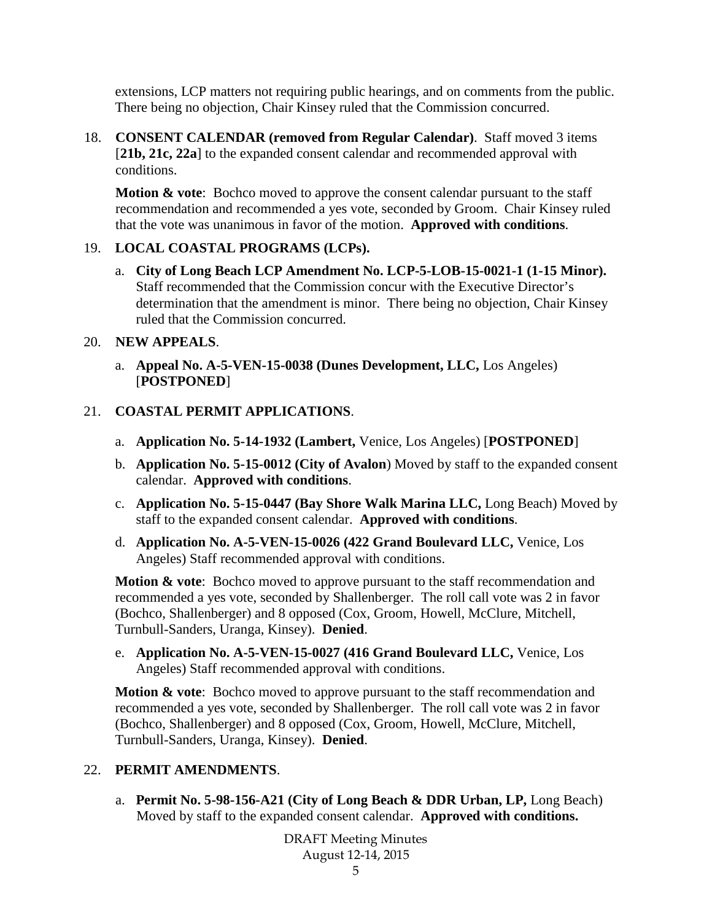extensions, LCP matters not requiring public hearings, and on comments from the public. There being no objection, Chair Kinsey ruled that the Commission concurred.

18. **CONSENT CALENDAR (removed from Regular Calendar)**. Staff moved 3 items [**21b, 21c, 22a**] to the expanded consent calendar and recommended approval with conditions.

**Motion & vote**: Bochco moved to approve the consent calendar pursuant to the staff recommendation and recommended a yes vote, seconded by Groom. Chair Kinsey ruled that the vote was unanimous in favor of the motion. **Approved with conditions**.

### 19. **LOCAL COASTAL PROGRAMS (LCPs).**

a. **City of Long Beach LCP Amendment No. LCP-5-LOB-15-0021-1 (1-15 Minor).** Staff recommended that the Commission concur with the Executive Director's determination that the amendment is minor. There being no objection, Chair Kinsey ruled that the Commission concurred.

### 20. **NEW APPEALS**.

a. **Appeal No. A-5-VEN-15-0038 (Dunes Development, LLC,** Los Angeles) [**POSTPONED**]

### 21. **COASTAL PERMIT APPLICATIONS**.

- a. **Application No. 5-14-1932 (Lambert,** Venice, Los Angeles) [**POSTPONED**]
- b. **Application No. 5-15-0012 (City of Avalon**) Moved by staff to the expanded consent calendar. **Approved with conditions**.
- c. **Application No. 5-15-0447 (Bay Shore Walk Marina LLC,** Long Beach) Moved by staff to the expanded consent calendar. **Approved with conditions**.
- d. **Application No. A-5-VEN-15-0026 (422 Grand Boulevard LLC,** Venice, Los Angeles) Staff recommended approval with conditions.

**Motion & vote:** Bochco moved to approve pursuant to the staff recommendation and recommended a yes vote, seconded by Shallenberger. The roll call vote was 2 in favor (Bochco, Shallenberger) and 8 opposed (Cox, Groom, Howell, McClure, Mitchell, Turnbull-Sanders, Uranga, Kinsey). **Denied**.

e. **Application No. A-5-VEN-15-0027 (416 Grand Boulevard LLC,** Venice, Los Angeles) Staff recommended approval with conditions.

**Motion & vote:** Bochco moved to approve pursuant to the staff recommendation and recommended a yes vote, seconded by Shallenberger. The roll call vote was 2 in favor (Bochco, Shallenberger) and 8 opposed (Cox, Groom, Howell, McClure, Mitchell, Turnbull-Sanders, Uranga, Kinsey). **Denied**.

### 22. **PERMIT AMENDMENTS**.

a. **Permit No. 5-98-156-A21 (City of Long Beach & DDR Urban, LP,** Long Beach) Moved by staff to the expanded consent calendar. **Approved with conditions.**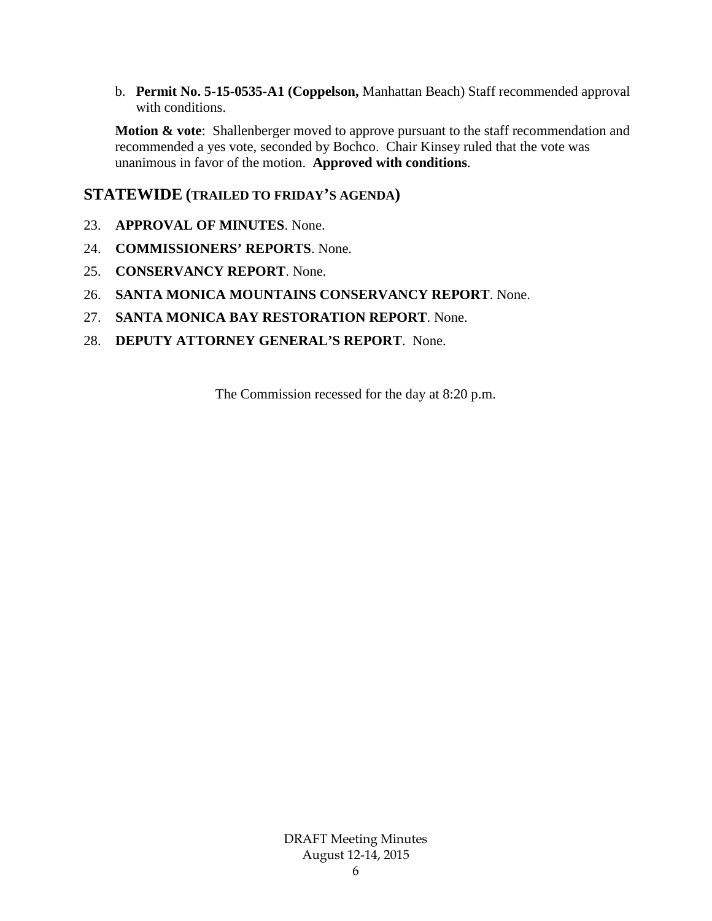b. **Permit No. 5-15-0535-A1 (Coppelson,** Manhattan Beach) Staff recommended approval with conditions.

**Motion & vote**: Shallenberger moved to approve pursuant to the staff recommendation and recommended a yes vote, seconded by Bochco. Chair Kinsey ruled that the vote was unanimous in favor of the motion. **Approved with conditions**.

### **STATEWIDE (TRAILED TO FRIDAY'S AGENDA)**

- 23. **APPROVAL OF MINUTES**. None.
- 24. **COMMISSIONERS' REPORTS**. None.
- 25. **CONSERVANCY REPORT**. None.
- 26. **SANTA MONICA MOUNTAINS CONSERVANCY REPORT**. None.
- 27. **SANTA MONICA BAY RESTORATION REPORT**. None.
- 28. **DEPUTY ATTORNEY GENERAL'S REPORT**. None.

The Commission recessed for the day at 8:20 p.m.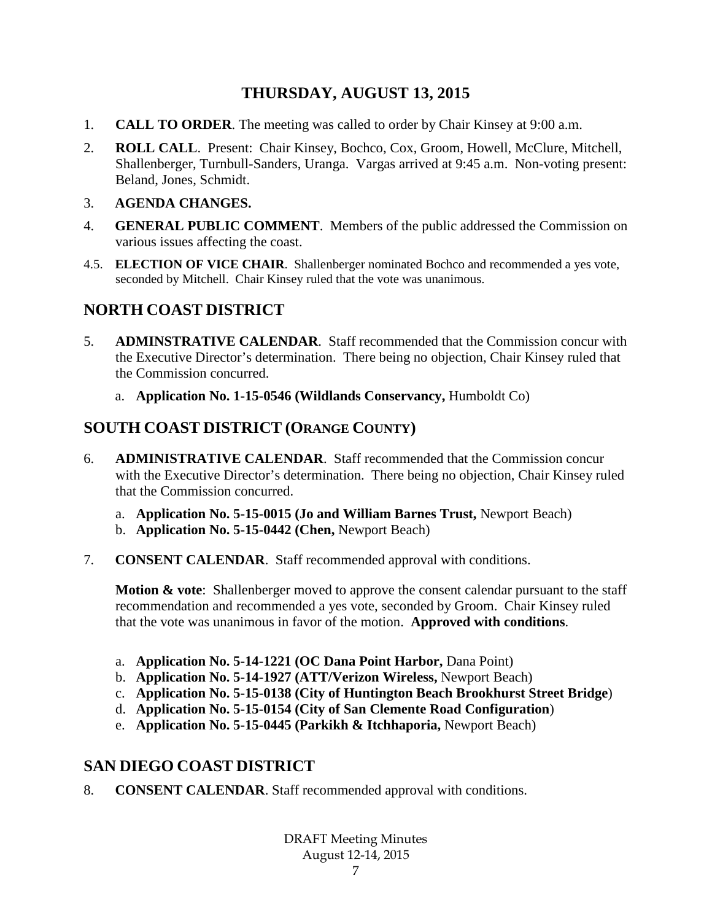# **THURSDAY, AUGUST 13, 2015**

- 1. **CALL TO ORDER**. The meeting was called to order by Chair Kinsey at 9:00 a.m.
- 2. **ROLL CALL**. Present: Chair Kinsey, Bochco, Cox, Groom, Howell, McClure, Mitchell, Shallenberger, Turnbull-Sanders, Uranga. Vargas arrived at 9:45 a.m. Non-voting present: Beland, Jones, Schmidt.
- 3. **AGENDA CHANGES.**
- 4. **GENERAL PUBLIC COMMENT**. Members of the public addressed the Commission on various issues affecting the coast.
- 4.5. **ELECTION OF VICE CHAIR**. Shallenberger nominated Bochco and recommended a yes vote, seconded by Mitchell. Chair Kinsey ruled that the vote was unanimous.

# **NORTH COAST DISTRICT**

- 5. **ADMINSTRATIVE CALENDAR**. Staff recommended that the Commission concur with the Executive Director's determination. There being no objection, Chair Kinsey ruled that the Commission concurred.
	- a. **Application No. 1-15-0546 (Wildlands Conservancy,** Humboldt Co)

## **SOUTH COAST DISTRICT (ORANGE COUNTY)**

- 6. **ADMINISTRATIVE CALENDAR**. Staff recommended that the Commission concur with the Executive Director's determination. There being no objection, Chair Kinsey ruled that the Commission concurred.
	- a. **Application No. 5-15-0015 (Jo and William Barnes Trust,** Newport Beach)
	- b. **Application No. 5-15-0442 (Chen,** Newport Beach)
- 7. **CONSENT CALENDAR**. Staff recommended approval with conditions.

**Motion & vote:** Shallenberger moved to approve the consent calendar pursuant to the staff recommendation and recommended a yes vote, seconded by Groom. Chair Kinsey ruled that the vote was unanimous in favor of the motion. **Approved with conditions**.

- a. **Application No. 5-14-1221 (OC Dana Point Harbor,** Dana Point)
- b. **Application No. 5-14-1927 (ATT/Verizon Wireless,** Newport Beach)
- c. **Application No. 5-15-0138 (City of Huntington Beach Brookhurst Street Bridge**)
- d. **Application No. 5-15-0154 (City of San Clemente Road Configuration**)
- e. **Application No. 5-15-0445 (Parkikh & Itchhaporia,** Newport Beach)

# **SAN DIEGO COAST DISTRICT**

8. **CONSENT CALENDAR**. Staff recommended approval with conditions.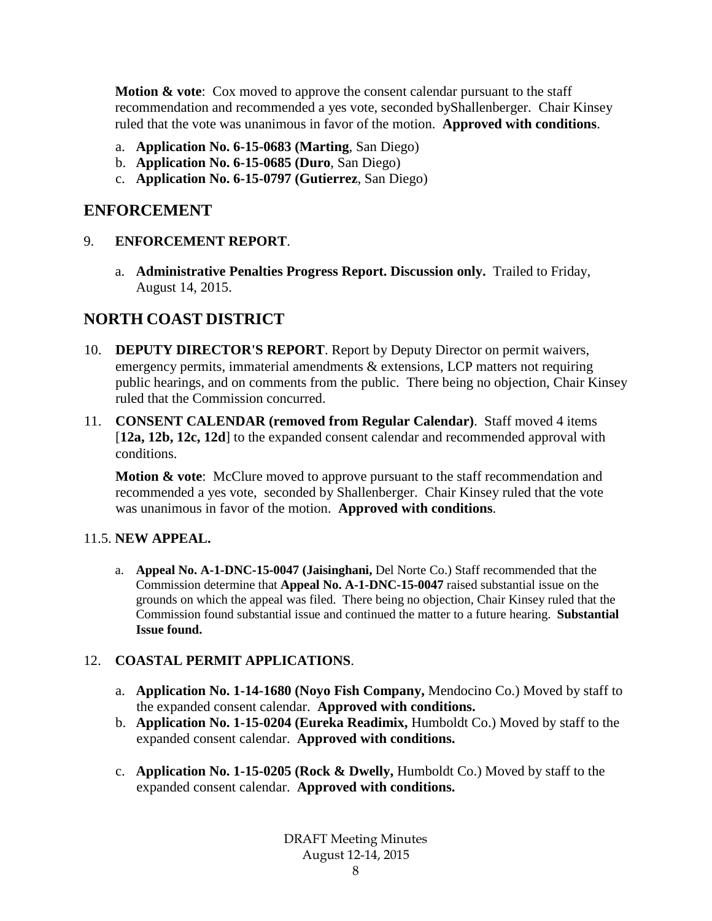**Motion & vote**: Cox moved to approve the consent calendar pursuant to the staff recommendation and recommended a yes vote, seconded byShallenberger. Chair Kinsey ruled that the vote was unanimous in favor of the motion. **Approved with conditions**.

- a. **Application No. 6-15-0683 (Marting**, San Diego)
- b. **Application No. 6-15-0685 (Duro**, San Diego)
- c. **Application No. 6-15-0797 (Gutierrez**, San Diego)

### **ENFORCEMENT**

### 9. **ENFORCEMENT REPORT**.

a. **Administrative Penalties Progress Report. Discussion only.** Trailed to Friday, August 14, 2015.

# **NORTH COAST DISTRICT**

- 10. **DEPUTY DIRECTOR'S REPORT**. Report by Deputy Director on permit waivers, emergency permits, immaterial amendments & extensions, LCP matters not requiring public hearings, and on comments from the public. There being no objection, Chair Kinsey ruled that the Commission concurred.
- 11. **CONSENT CALENDAR (removed from Regular Calendar)**. Staff moved 4 items [**12a, 12b, 12c, 12d**] to the expanded consent calendar and recommended approval with conditions.

**Motion & vote:** McClure moved to approve pursuant to the staff recommendation and recommended a yes vote, seconded by Shallenberger. Chair Kinsey ruled that the vote was unanimous in favor of the motion. **Approved with conditions**.

### 11.5. **NEW APPEAL.**

a. **Appeal No. A-1-DNC-15-0047 (Jaisinghani,** Del Norte Co.) Staff recommended that the Commission determine that **Appeal No. A-1-DNC-15-0047** raised substantial issue on the grounds on which the appeal was filed. There being no objection, Chair Kinsey ruled that the Commission found substantial issue and continued the matter to a future hearing. **Substantial Issue found.**

### 12. **COASTAL PERMIT APPLICATIONS**.

- a. **Application No. 1-14-1680 (Noyo Fish Company,** Mendocino Co.) Moved by staff to the expanded consent calendar. **Approved with conditions.**
- b. **Application No. 1-15-0204 (Eureka Readimix,** Humboldt Co.) Moved by staff to the expanded consent calendar. **Approved with conditions.**
- c. **Application No. 1-15-0205 (Rock & Dwelly,** Humboldt Co.) Moved by staff to the expanded consent calendar. **Approved with conditions.**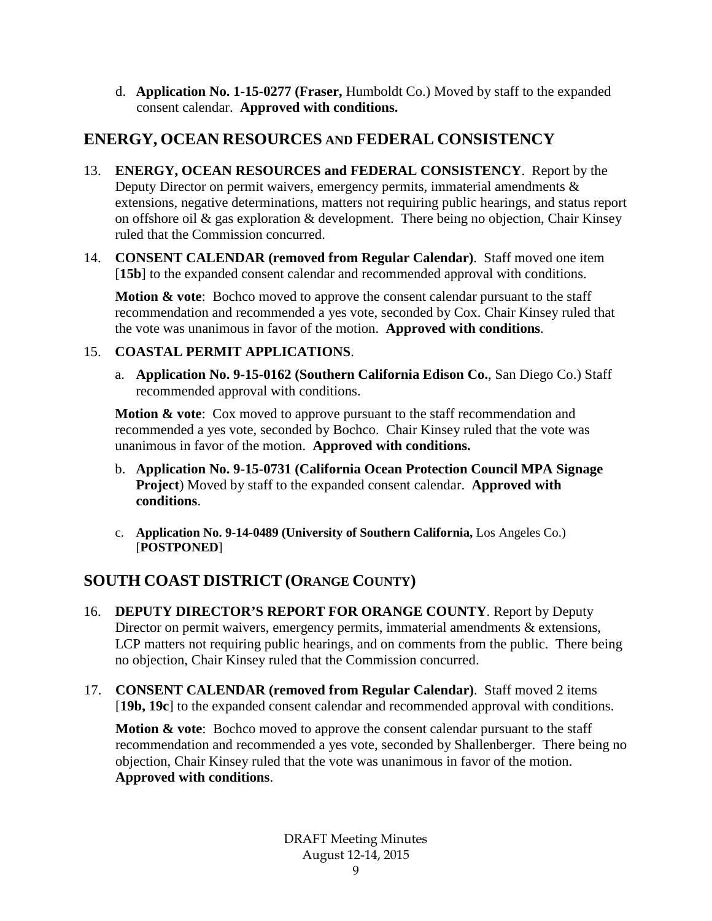d. **Application No. 1-15-0277 (Fraser,** Humboldt Co.) Moved by staff to the expanded consent calendar. **Approved with conditions.**

# **ENERGY, OCEAN RESOURCES AND FEDERAL CONSISTENCY**

- 13. **ENERGY, OCEAN RESOURCES and FEDERAL CONSISTENCY**. Report by the Deputy Director on permit waivers, emergency permits, immaterial amendments  $\&$ extensions, negative determinations, matters not requiring public hearings, and status report on offshore oil & gas exploration & development. There being no objection, Chair Kinsey ruled that the Commission concurred.
- 14. **CONSENT CALENDAR (removed from Regular Calendar)**. Staff moved one item [15b] to the expanded consent calendar and recommended approval with conditions.

**Motion & vote:** Bochco moved to approve the consent calendar pursuant to the staff recommendation and recommended a yes vote, seconded by Cox. Chair Kinsey ruled that the vote was unanimous in favor of the motion. **Approved with conditions**.

### 15. **COASTAL PERMIT APPLICATIONS**.

a. **Application No. 9-15-0162 (Southern California Edison Co.**, San Diego Co.) Staff recommended approval with conditions.

**Motion & vote:** Cox moved to approve pursuant to the staff recommendation and recommended a yes vote, seconded by Bochco. Chair Kinsey ruled that the vote was unanimous in favor of the motion. **Approved with conditions.**

- b. **Application No. 9-15-0731 (California Ocean Protection Council MPA Signage Project**) Moved by staff to the expanded consent calendar. **Approved with conditions**.
- c. **Application No. 9-14-0489 (University of Southern California,** Los Angeles Co.) [**POSTPONED**]

# **SOUTH COAST DISTRICT (ORANGE COUNTY)**

- 16. **DEPUTY DIRECTOR'S REPORT FOR ORANGE COUNTY**. Report by Deputy Director on permit waivers, emergency permits, immaterial amendments & extensions, LCP matters not requiring public hearings, and on comments from the public. There being no objection, Chair Kinsey ruled that the Commission concurred.
- 17. **CONSENT CALENDAR (removed from Regular Calendar)**. Staff moved 2 items [**19b, 19c**] to the expanded consent calendar and recommended approval with conditions.

**Motion & vote:** Bochco moved to approve the consent calendar pursuant to the staff recommendation and recommended a yes vote, seconded by Shallenberger. There being no objection, Chair Kinsey ruled that the vote was unanimous in favor of the motion. **Approved with conditions**.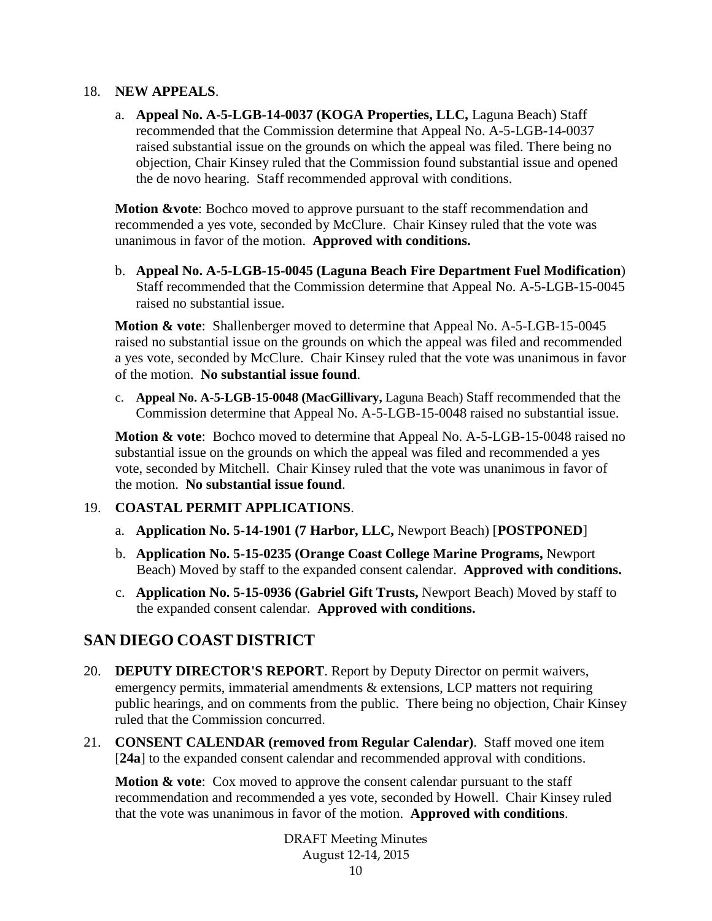#### 18. **NEW APPEALS**.

a. **Appeal No. A-5-LGB-14-0037 (KOGA Properties, LLC,** Laguna Beach) Staff recommended that the Commission determine that Appeal No. A-5-LGB-14-0037 raised substantial issue on the grounds on which the appeal was filed. There being no objection, Chair Kinsey ruled that the Commission found substantial issue and opened the de novo hearing. Staff recommended approval with conditions.

**Motion &vote**: Bochco moved to approve pursuant to the staff recommendation and recommended a yes vote, seconded by McClure. Chair Kinsey ruled that the vote was unanimous in favor of the motion. **Approved with conditions.**

b. **Appeal No. A-5-LGB-15-0045 (Laguna Beach Fire Department Fuel Modification**) Staff recommended that the Commission determine that Appeal No. A-5-LGB-15-0045 raised no substantial issue.

**Motion & vote**: Shallenberger moved to determine that Appeal No. A-5-LGB-15-0045 raised no substantial issue on the grounds on which the appeal was filed and recommended a yes vote, seconded by McClure. Chair Kinsey ruled that the vote was unanimous in favor of the motion. **No substantial issue found**.

c. **Appeal No. A-5-LGB-15-0048 (MacGillivary,** Laguna Beach) Staff recommended that the Commission determine that Appeal No. A-5-LGB-15-0048 raised no substantial issue.

**Motion & vote**: Bochco moved to determine that Appeal No. A-5-LGB-15-0048 raised no substantial issue on the grounds on which the appeal was filed and recommended a yes vote, seconded by Mitchell. Chair Kinsey ruled that the vote was unanimous in favor of the motion. **No substantial issue found**.

### 19. **COASTAL PERMIT APPLICATIONS**.

- a. **Application No. 5-14-1901 (7 Harbor, LLC,** Newport Beach) [**POSTPONED**]
- b. **Application No. 5-15-0235 (Orange Coast College Marine Programs,** Newport Beach) Moved by staff to the expanded consent calendar. **Approved with conditions.**
- c. **Application No. 5-15-0936 (Gabriel Gift Trusts,** Newport Beach) Moved by staff to the expanded consent calendar. **Approved with conditions.**

# **SAN DIEGO COAST DISTRICT**

- 20. **DEPUTY DIRECTOR'S REPORT**. Report by Deputy Director on permit waivers, emergency permits, immaterial amendments & extensions, LCP matters not requiring public hearings, and on comments from the public. There being no objection, Chair Kinsey ruled that the Commission concurred.
- 21. **CONSENT CALENDAR (removed from Regular Calendar)**. Staff moved one item [**24a**] to the expanded consent calendar and recommended approval with conditions.

**Motion & vote:** Cox moved to approve the consent calendar pursuant to the staff recommendation and recommended a yes vote, seconded by Howell. Chair Kinsey ruled that the vote was unanimous in favor of the motion. **Approved with conditions**.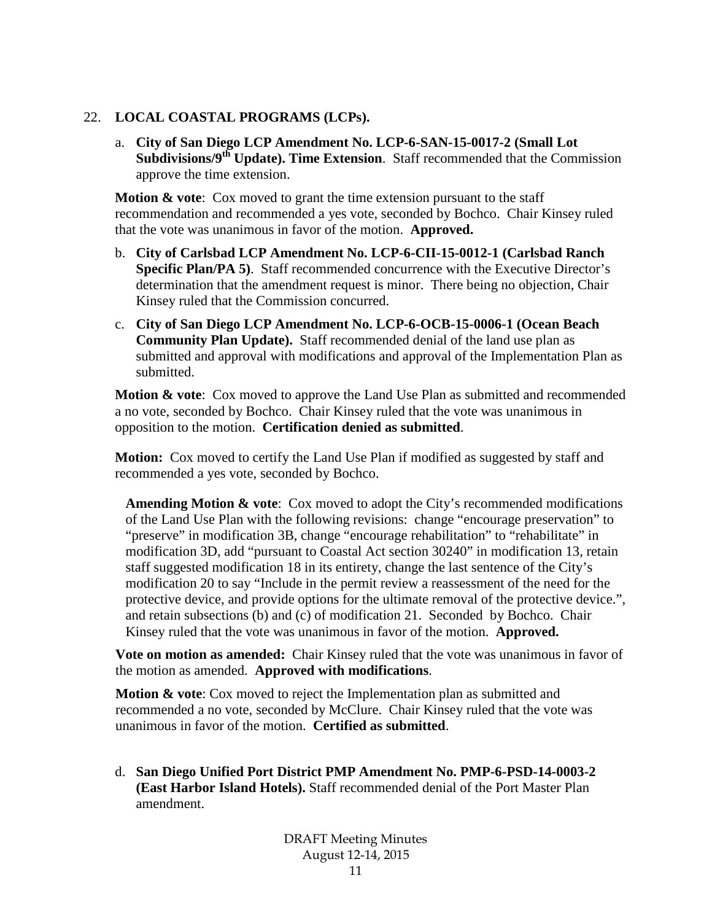#### 22. **LOCAL COASTAL PROGRAMS (LCPs).**

a. **City of San Diego LCP Amendment No. LCP-6-SAN-15-0017-2 (Small Lot Subdivisions/9th Update). Time Extension**. Staff recommended that the Commission approve the time extension.

**Motion & vote:** Cox moved to grant the time extension pursuant to the staff recommendation and recommended a yes vote, seconded by Bochco. Chair Kinsey ruled that the vote was unanimous in favor of the motion. **Approved.**

- b. **City of Carlsbad LCP Amendment No. LCP-6-CII-15-0012-1 (Carlsbad Ranch Specific Plan/PA 5)**. Staff recommended concurrence with the Executive Director's determination that the amendment request is minor. There being no objection, Chair Kinsey ruled that the Commission concurred.
- c. **City of San Diego LCP Amendment No. LCP-6-OCB-15-0006-1 (Ocean Beach Community Plan Update).** Staff recommended denial of the land use plan as submitted and approval with modifications and approval of the Implementation Plan as submitted.

**Motion & vote:** Cox moved to approve the Land Use Plan as submitted and recommended a no vote, seconded by Bochco. Chair Kinsey ruled that the vote was unanimous in opposition to the motion. **Certification denied as submitted**.

**Motion:** Cox moved to certify the Land Use Plan if modified as suggested by staff and recommended a yes vote, seconded by Bochco.

**Amending Motion & vote**: Cox moved to adopt the City's recommended modifications of the Land Use Plan with the following revisions: change "encourage preservation" to "preserve" in modification 3B, change "encourage rehabilitation" to "rehabilitate" in modification 3D, add "pursuant to Coastal Act section 30240" in modification 13, retain staff suggested modification 18 in its entirety, change the last sentence of the City's modification 20 to say "Include in the permit review a reassessment of the need for the protective device, and provide options for the ultimate removal of the protective device.", and retain subsections (b) and (c) of modification 21. Seconded by Bochco. Chair Kinsey ruled that the vote was unanimous in favor of the motion. **Approved.**

**Vote on motion as amended:** Chair Kinsey ruled that the vote was unanimous in favor of the motion as amended. **Approved with modifications**.

**Motion & vote:** Cox moved to reject the Implementation plan as submitted and recommended a no vote, seconded by McClure. Chair Kinsey ruled that the vote was unanimous in favor of the motion. **Certified as submitted**.

d. **San Diego Unified Port District PMP Amendment No. PMP-6-PSD-14-0003-2 (East Harbor Island Hotels).** Staff recommended denial of the Port Master Plan amendment.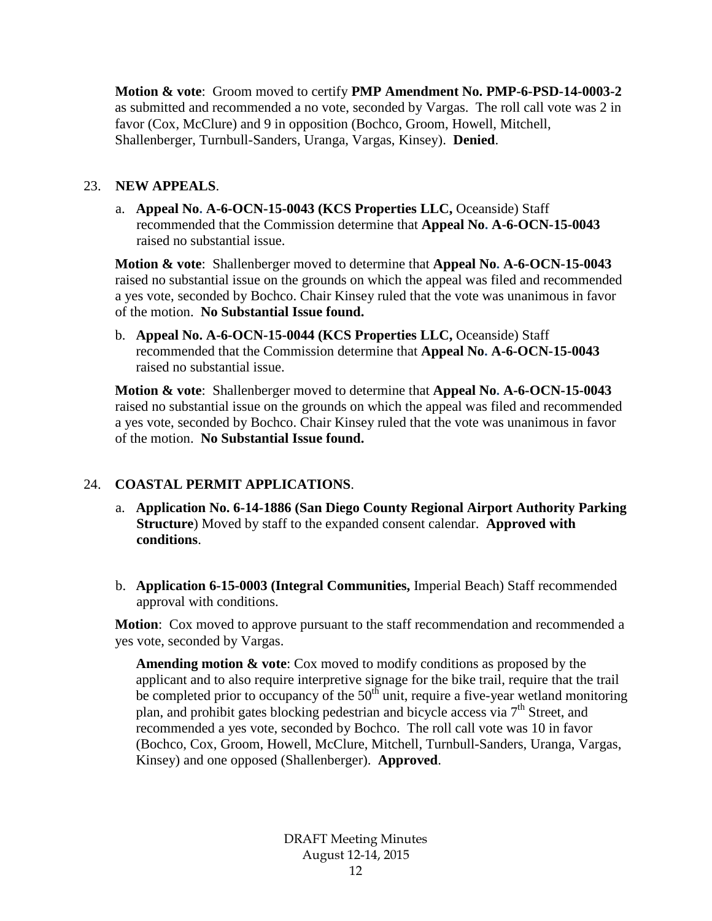**Motion & vote**: Groom moved to certify **PMP Amendment No. PMP-6-PSD-14-0003-2**  as submitted and recommended a no vote, seconded by Vargas. The roll call vote was 2 in favor (Cox, McClure) and 9 in opposition (Bochco, Groom, Howell, Mitchell, Shallenberger, Turnbull-Sanders, Uranga, Vargas, Kinsey). **Denied**.

### 23. **NEW APPEALS**.

a. **Appeal No. A-6-OCN-15-0043 (KCS Properties LLC,** Oceanside) Staff recommended that the Commission determine that **Appeal No. A-6-OCN-15-0043** raised no substantial issue.

**Motion & vote**: Shallenberger moved to determine that **Appeal No. A-6-OCN-15-0043** raised no substantial issue on the grounds on which the appeal was filed and recommended a yes vote, seconded by Bochco. Chair Kinsey ruled that the vote was unanimous in favor of the motion. **No Substantial Issue found.**

b. **Appeal No. A-6-OCN-15-0044 (KCS Properties LLC,** Oceanside) Staff recommended that the Commission determine that **Appeal No. A-6-OCN-15-0043** raised no substantial issue.

**Motion & vote**: Shallenberger moved to determine that **Appeal No. A-6-OCN-15-0043** raised no substantial issue on the grounds on which the appeal was filed and recommended a yes vote, seconded by Bochco. Chair Kinsey ruled that the vote was unanimous in favor of the motion. **No Substantial Issue found.**

### 24. **COASTAL PERMIT APPLICATIONS**.

- a. **Application No. 6-14-1886 (San Diego County Regional Airport Authority Parking Structure**) Moved by staff to the expanded consent calendar. **Approved with conditions**.
- b. **Application 6-15-0003 (Integral Communities,** Imperial Beach) Staff recommended approval with conditions.

**Motion**: Cox moved to approve pursuant to the staff recommendation and recommended a yes vote, seconded by Vargas.

**Amending motion & vote**: Cox moved to modify conditions as proposed by the applicant and to also require interpretive signage for the bike trail, require that the trail be completed prior to occupancy of the  $50<sup>th</sup>$  unit, require a five-year wetland monitoring plan, and prohibit gates blocking pedestrian and bicycle access via  $7<sup>th</sup>$  Street, and recommended a yes vote, seconded by Bochco. The roll call vote was 10 in favor (Bochco, Cox, Groom, Howell, McClure, Mitchell, Turnbull-Sanders, Uranga, Vargas, Kinsey) and one opposed (Shallenberger). **Approved**.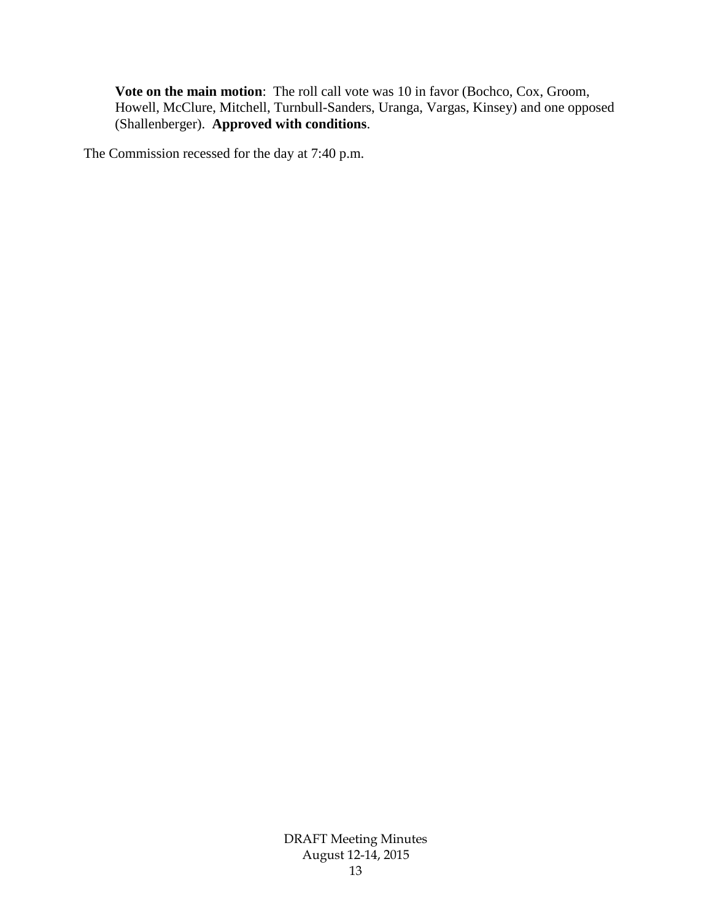**Vote on the main motion**: The roll call vote was 10 in favor (Bochco, Cox, Groom, Howell, McClure, Mitchell, Turnbull-Sanders, Uranga, Vargas, Kinsey) and one opposed (Shallenberger). **Approved with conditions**.

The Commission recessed for the day at 7:40 p.m.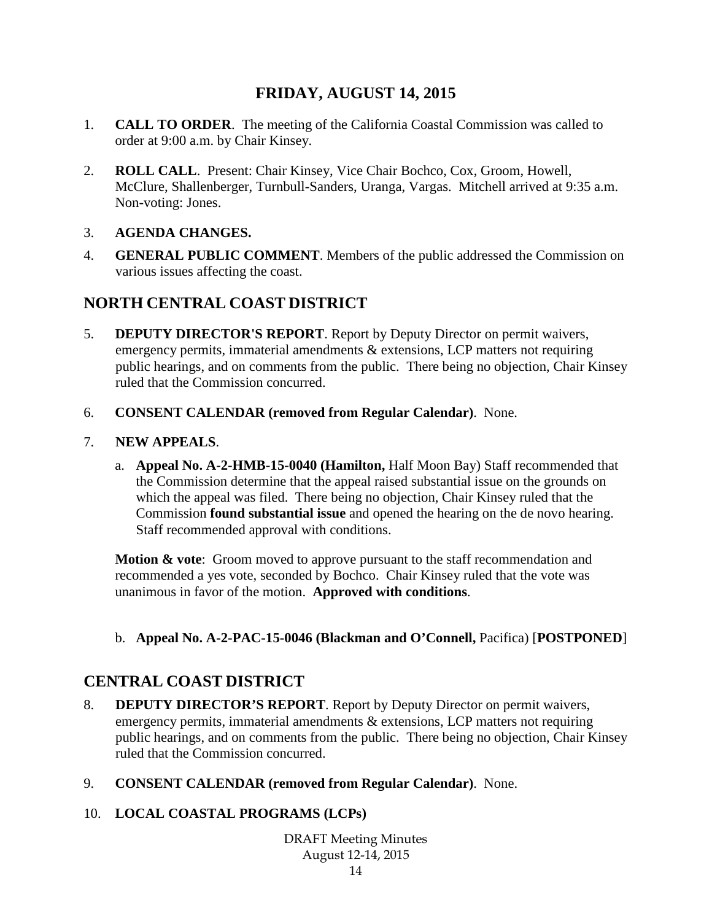# **FRIDAY, AUGUST 14, 2015**

- 1. **CALL TO ORDER**. The meeting of the California Coastal Commission was called to order at 9:00 a.m. by Chair Kinsey.
- 2. **ROLL CALL**. Present: Chair Kinsey, Vice Chair Bochco, Cox, Groom, Howell, McClure, Shallenberger, Turnbull-Sanders, Uranga, Vargas. Mitchell arrived at 9:35 a.m. Non-voting: Jones.
- 3. **AGENDA CHANGES.**
- 4. **GENERAL PUBLIC COMMENT**. Members of the public addressed the Commission on various issues affecting the coast.

# **NORTH CENTRAL COAST DISTRICT**

- 5. **DEPUTY DIRECTOR'S REPORT**. Report by Deputy Director on permit waivers, emergency permits, immaterial amendments & extensions, LCP matters not requiring public hearings, and on comments from the public. There being no objection, Chair Kinsey ruled that the Commission concurred.
- 6. **CONSENT CALENDAR (removed from Regular Calendar)**. None.
- 7. **NEW APPEALS**.
	- a. **Appeal No. A-2-HMB-15-0040 (Hamilton,** Half Moon Bay) Staff recommended that the Commission determine that the appeal raised substantial issue on the grounds on which the appeal was filed. There being no objection, Chair Kinsey ruled that the Commission **found substantial issue** and opened the hearing on the de novo hearing. Staff recommended approval with conditions.

**Motion & vote:** Groom moved to approve pursuant to the staff recommendation and recommended a yes vote, seconded by Bochco. Chair Kinsey ruled that the vote was unanimous in favor of the motion. **Approved with conditions**.

b. **Appeal No. A-2-PAC-15-0046 (Blackman and O'Connell,** Pacifica) [**POSTPONED**]

# **CENTRAL COAST DISTRICT**

- 8. **DEPUTY DIRECTOR'S REPORT**. Report by Deputy Director on permit waivers, emergency permits, immaterial amendments & extensions, LCP matters not requiring public hearings, and on comments from the public. There being no objection, Chair Kinsey ruled that the Commission concurred.
- 9. **CONSENT CALENDAR (removed from Regular Calendar)**. None.

### 10. **LOCAL COASTAL PROGRAMS (LCPs)**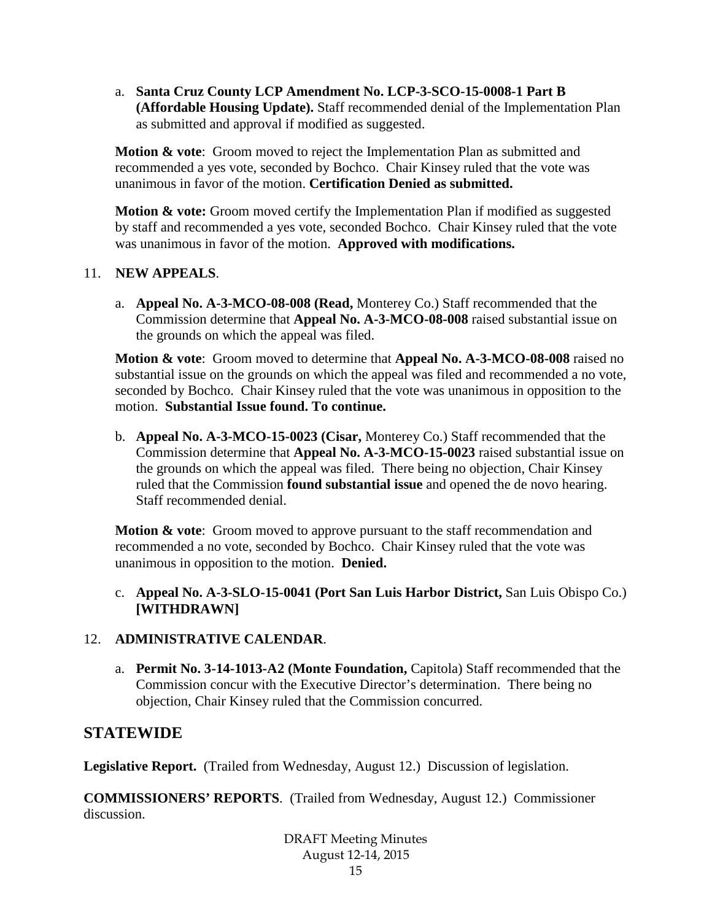a. **Santa Cruz County LCP Amendment No. LCP-3-SCO-15-0008-1 Part B (Affordable Housing Update).** Staff recommended denial of the Implementation Plan as submitted and approval if modified as suggested.

**Motion & vote:** Groom moved to reject the Implementation Plan as submitted and recommended a yes vote, seconded by Bochco. Chair Kinsey ruled that the vote was unanimous in favor of the motion. **Certification Denied as submitted.**

**Motion & vote:** Groom moved certify the Implementation Plan if modified as suggested by staff and recommended a yes vote, seconded Bochco. Chair Kinsey ruled that the vote was unanimous in favor of the motion. **Approved with modifications.**

### 11. **NEW APPEALS**.

a. **Appeal No. A-3-MCO-08-008 (Read,** Monterey Co.) Staff recommended that the Commission determine that **Appeal No. A-3-MCO-08-008** raised substantial issue on the grounds on which the appeal was filed.

**Motion & vote**: Groom moved to determine that **Appeal No. A-3-MCO-08-008** raised no substantial issue on the grounds on which the appeal was filed and recommended a no vote, seconded by Bochco. Chair Kinsey ruled that the vote was unanimous in opposition to the motion. **Substantial Issue found. To continue.**

b. **Appeal No. A-3-MCO-15-0023 (Cisar,** Monterey Co.) Staff recommended that the Commission determine that **Appeal No. A-3-MCO-15-0023** raised substantial issue on the grounds on which the appeal was filed. There being no objection, Chair Kinsey ruled that the Commission **found substantial issue** and opened the de novo hearing. Staff recommended denial.

**Motion & vote:** Groom moved to approve pursuant to the staff recommendation and recommended a no vote, seconded by Bochco. Chair Kinsey ruled that the vote was unanimous in opposition to the motion. **Denied.**

### c. **Appeal No. A-3-SLO-15-0041 (Port San Luis Harbor District,** San Luis Obispo Co.) **[WITHDRAWN]**

### 12. **ADMINISTRATIVE CALENDAR**.

a. **Permit No. 3-14-1013-A2 (Monte Foundation,** Capitola) Staff recommended that the Commission concur with the Executive Director's determination. There being no objection, Chair Kinsey ruled that the Commission concurred.

### **STATEWIDE**

**Legislative Report.** (Trailed from Wednesday, August 12.) Discussion of legislation.

**COMMISSIONERS' REPORTS**. (Trailed from Wednesday, August 12.) Commissioner discussion.